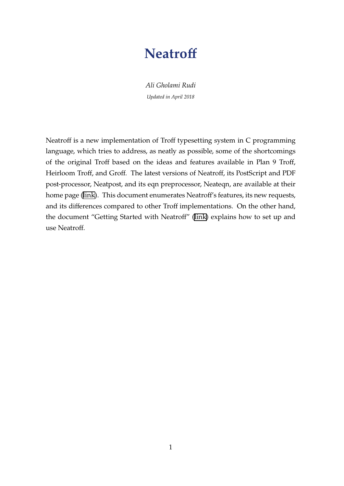# **Neatroff**

*Ali Gholami Rudi Updated in April 2018*

Neatroff is a new implementation of Troff typesetting system in C programming language, which tries to address, as neatly as possible, some of the shortcomings of the original Troff based on the ideas and features available in Plan 9 Troff, Heirloom Troff, and Groff. The latest versions of Neatroff, its PostScript and PDF post-processor, Neatpost, and its eqn preprocessor, Neateqn, are available at their home page([link](http://litcave.rudi.ir/)). This document enumerates Neatroff's features, its new requests, and its differences compared to other Troff implementations. On the other hand, the document "Getting Started with Neatroff" [\(link\)](http://litcave.rudi.ir/neatstart.pdf) explains how to set up and use Neatroff.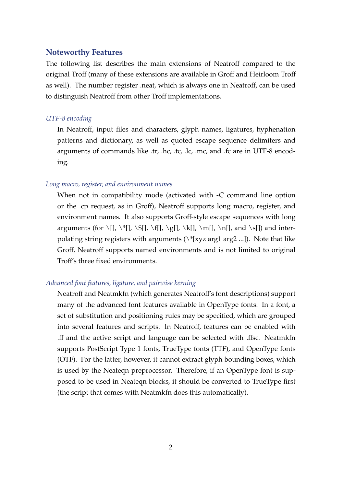### **Noteworthy Features**

The following list describes the main extensions of Neatroff compared to the original Troff (many of these extensions are available in Groff and Heirloom Troff as well). The number register .neat, which is always one in Neatroff, can be used to distinguish Neatroff from other Troff implementations.

#### *UTF-8 encoding*

In Neatroff, input files and characters, glyph names, ligatures, hyphenation patterns and dictionary, as well as quoted escape sequence delimiters and arguments of commands like .tr, .hc, .tc, .lc, .mc, and .fc are in UTF-8 encoding.

#### *Long macro, register, and environment names*

When not in compatibility mode (activated with -C command line option or the .cp request, as in Groff), Neatroff supports long macro, register, and environment names. It also supports Groff-style escape sequences with long arguments (for \[], \\*[], \\$[], \f[], \g[], \k[], \m[], \n[], and \s[]) and interpolating string registers with arguments  $(\n\cdot \frac{1}{xyz} \arg 1 \arg 2 \dots)$ . Note that like Groff, Neatroff supports named environments and is not limited to original Troff's three fixed environments.

#### *Advanced font features, ligature, and pairwise kerning*

Neatroff and Neatmkfn (which generates Neatroff's font descriptions) support many of the advanced font features available in OpenType fonts. In a font, a set of substitution and positioning rules may be specified, which are grouped into several features and scripts. In Neatroff, features can be enabled with .ff and the active script and language can be selected with .ffsc. Neatmkfn supports PostScript Type 1 fonts, TrueType fonts (TTF), and OpenType fonts (OTF). For the latter, however, it cannot extract glyph bounding boxes, which is used by the Neateqn preprocessor. Therefore, if an OpenType font is supposed to be used in Neateqn blocks, it should be converted to TrueType first (the script that comes with Neatmkfn does this automatically).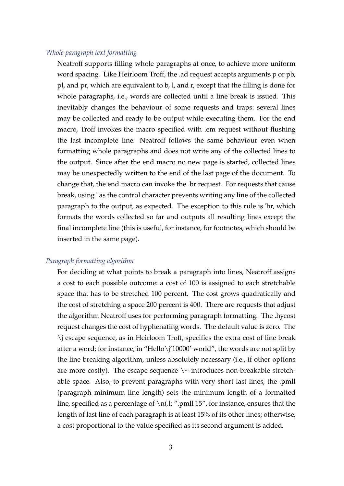#### *Whole paragraph text formatting*

Neatroff supports filling whole paragraphs at once, to achieve more uniform word spacing. Like Heirloom Troff, the .ad request accepts arguments p or pb, pl, and pr, which are equivalent to b, l, and r, except that the filling is done for whole paragraphs, i.e., words are collected until a line break is issued. This inevitably changes the behaviour of some requests and traps: several lines may be collected and ready to be output while executing them. For the end macro, Troff invokes the macro specified with .em request without flushing the last incomplete line. Neatroff follows the same behaviour even when formatting whole paragraphs and does not write any of the collected lines to the output. Since after the end macro no new page is started, collected lines may be unexpectedly written to the end of the last page of the document. To change that, the end macro can invoke the .br request. For requests that cause break, using ' as the control character prevents writing any line of the collected paragraph to the output, as expected. The exception to this rule is 'br, which formats the words collected so far and outputs all resulting lines except the final incomplete line (this is useful, for instance, for footnotes, which should be inserted in the same page).

#### *Paragraph formatting algorithm*

For deciding at what points to break a paragraph into lines, Neatroff assigns a cost to each possible outcome: a cost of 100 is assigned to each stretchable space that has to be stretched 100 percent. The cost grows quadratically and the cost of stretching a space 200 percent is 400. There are requests that adjust the algorithm Neatroff uses for performing paragraph formatting. The .hycost request changes the cost of hyphenating words. The default value is zero. The \j escape sequence, as in Heirloom Troff, specifies the extra cost of line break after a word; for instance, in "Hello\j'10000' world", the words are not split by the line breaking algorithm, unless absolutely necessary (i.e., if other options are more costly). The escape sequence  $\setminus\sim$  introduces non-breakable stretchable space. Also, to prevent paragraphs with very short last lines, the .pmll (paragraph minimum line length) sets the minimum length of a formatted line, specified as a percentage of  $\ln(1; \text{``.pmll } 15 \text{''},$  for instance, ensures that the length of last line of each paragraph is at least 15% of its other lines; otherwise, a cost proportional to the value specified as its second argument is added.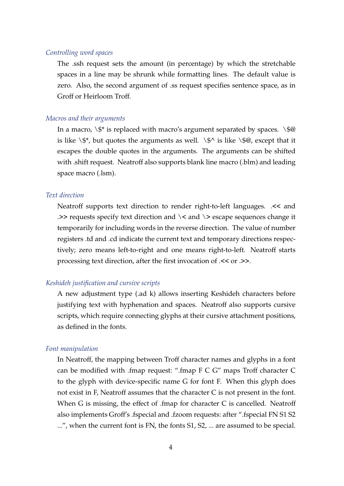#### *Controlling word spaces*

The .ssh request sets the amount (in percentage) by which the stretchable spaces in a line may be shrunk while formatting lines. The default value is zero. Also, the second argument of .ss request specifies sentence space, as in Groff or Heirloom Troff.

#### *Macros and their arguments*

In a macro,  $\setminus$  \$\* is replaced with macro's argument separated by spaces.  $\setminus$  \$@ is like  $\$\ast$ , but quotes the arguments as well.  $\$\wedge\$\$  is like  $\$\circledast$ , except that it escapes the double quotes in the arguments. The arguments can be shifted with .shift request. Neatroff also supports blank line macro (.blm) and leading space macro (.lsm).

#### *Text direction*

Neatroff supports text direction to render right-to-left languages. .<< and . $>>$  requests specify text direction and  $\<$  and  $\>$  escape sequences change it temporarily for including words in the reverse direction. The value of number registers .td and .cd indicate the current text and temporary directions respectively; zero means left-to-right and one means right-to-left. Neatroff starts processing text direction, after the first invocation of .<< or .>>.

#### *Keshideh justification and cursive scripts*

A new adjustment type (.ad k) allows inserting Keshideh characters before justifying text with hyphenation and spaces. Neatroff also supports cursive scripts, which require connecting glyphs at their cursive attachment positions, as defined in the fonts.

#### *Font manipulation*

In Neatroff, the mapping between Troff character names and glyphs in a font can be modified with .fmap request: ".fmap F C G" maps Troff character C to the glyph with device-specific name G for font F. When this glyph does not exist in F, Neatroff assumes that the character C is not present in the font. When G is missing, the effect of .fmap for character C is cancelled. Neatroff also implements Groff's .fspecial and .fzoom requests: after ".fspecial FN S1 S2 ...", when the current font is FN, the fonts S1, S2, ... are assumed to be special.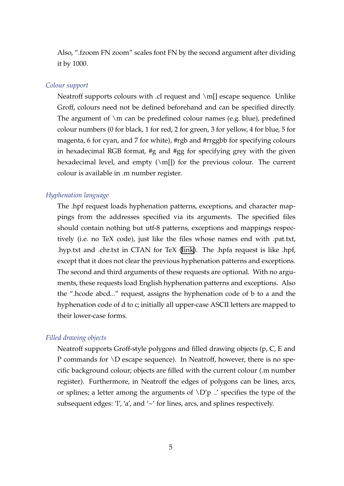Also, ".fzoom FN zoom" scales font FN by the second argument after dividing it by 1000.

#### *Colour support*

Neatroff supports colours with .cl request and \m[] escape sequence. Unlike Groff, colours need not be defined beforehand and can be specified directly. The argument of  $\mathcal{S}$  can be predefined colour names (e.g. blue), predefined colour numbers (0 for black, 1 for red, 2 for green, 3 for yellow, 4 for blue, 5 for magenta, 6 for cyan, and 7 for white), #rgb and #rrggbb for specifying colours in hexadecimal RGB format, #g and #gg for specifying grey with the given hexadecimal level, and empty  $(\mbox{m}$ []) for the previous colour. The current colour is available in .m number register.

#### *Hyphenation language*

The .hpf request loads hyphenation patterns, exceptions, and character mappings from the addresses specified via its arguments. The specified files should contain nothing but utf-8 patterns, exceptions and mappings respectively (i.e. no TeX code), just like the files whose names end with .pat.txt, .hyp.txt and .chr.txt in CTAN for TeX [\(link](ftp://ftp.ctan.org/tex-archive/language/hyph-utf8/tex/generic/hyph-utf8/patterns/txt/)). The .hpfa request is like .hpf, except that it does not clear the previous hyphenation patterns and exceptions. The second and third arguments of these requests are optional. With no arguments, these requests load English hyphenation patterns and exceptions. Also the ".hcode abcd..." request, assigns the hyphenation code of b to a and the hyphenation code of d to c; initially all upper-case ASCII letters are mapped to their lower-case forms.

#### *Filled drawing objects*

Neatroff supports Groff-style polygons and filled drawing objects (p, C, E and P commands for \D escape sequence). In Neatroff, however, there is no specific background colour; objects are filled with the current colour (.m number register). Furthermore, in Neatroff the edges of polygons can be lines, arcs, or splines; a letter among the arguments of  $\D'p$  ..' specifies the type of the subsequent edges: 'l', 'a', and '~' for lines, arcs, and splines respectively.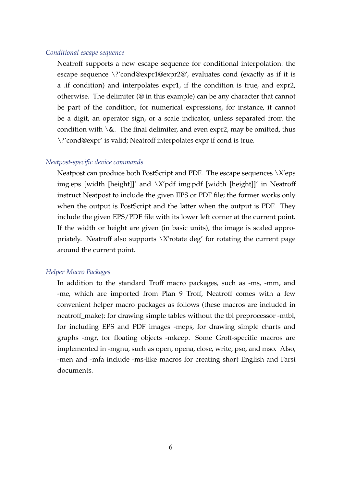#### *Conditional escape sequence*

Neatroff supports a new escape sequence for conditional interpolation: the escape sequence \?'cond@expr1@expr2@', evaluates cond (exactly as if it is a .if condition) and interpolates expr1, if the condition is true, and expr2, otherwise. The delimiter (@ in this example) can be any character that cannot be part of the condition; for numerical expressions, for instance, it cannot be a digit, an operator sign, or a scale indicator, unless separated from the condition with  $\&$ . The final delimiter, and even expr2, may be omitted, thus \?'cond@expr' is valid; Neatroff interpolates expr if cond is true.

#### *Neatpost-specific device commands*

Neatpost can produce both PostScript and PDF. The escape sequences  $\chi$ *'*eps img.eps [width [height]]' and  $\X$ 'pdf img.pdf [width [height]]' in Neatroff instruct Neatpost to include the given EPS or PDF file; the former works only when the output is PostScript and the latter when the output is PDF. They include the given EPS/PDF file with its lower left corner at the current point. If the width or height are given (in basic units), the image is scaled appropriately. Neatroff also supports  $\X$  rotate deg' for rotating the current page around the current point.

#### *Helper Macro Packages*

In addition to the standard Troff macro packages, such as -ms, -mm, and -me, which are imported from Plan 9 Troff, Neatroff comes with a few convenient helper macro packages as follows (these macros are included in neatroff\_make): for drawing simple tables without the tbl preprocessor -mtbl, for including EPS and PDF images -meps, for drawing simple charts and graphs -mgr, for floating objects -mkeep. Some Groff-specific macros are implemented in -mgnu, such as open, opena, close, write, pso, and mso. Also, -men and -mfa include -ms-like macros for creating short English and Farsi documents.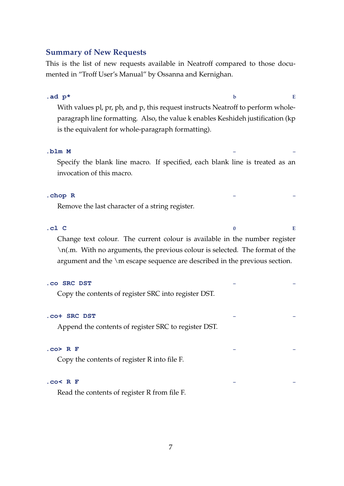### **Summary of New Requests**

This is the list of new requests available in Neatroff compared to those documented in "Troff User's Manual" by Ossanna and Kernighan.

# **.ad p\* b E** With values pl, pr, pb, and p, this request instructs Neatroff to perform wholeparagraph line formatting. Also, the value k enables Keshideh justification (kp is the equivalent for whole-paragraph formatting).

#### **.blm M – –**

Specify the blank line macro. If specified, each blank line is treated as an invocation of this macro.

#### **.chop R – –**

Remove the last character of a string register.

**.cl C 0 E**

Change text colour. The current colour is available in the number register \n(.m. With no arguments, the previous colour is selected. The format of the argument and the \m escape sequence are described in the previous section.

#### **.co SRC DST – –**

Copy the contents of register SRC into register DST.

#### **.co+ SRC DST – –**

Append the contents of register SRC to register DST.

#### **.co> R F – –**

Copy the contents of register R into file F.

#### **.co< R F – –**

Read the contents of register R from file F.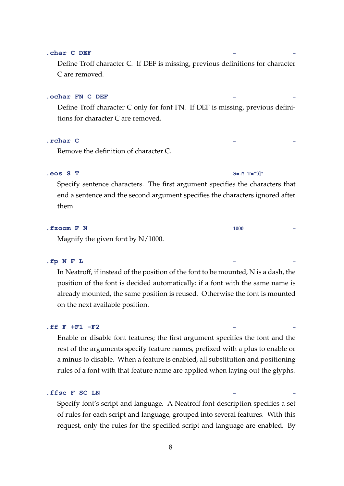#### **.char C DEF – –**

Define Troff character C. If DEF is missing, previous definitions for character C are removed.

#### **.ochar FN C DEF – –**

Define Troff character C only for font FN. If DEF is missing, previous definitions for character C are removed.

#### **.rchar C – –**

Remove the definition of character C.

#### **.eos S T S=.?! T='")]\* –**

Specify sentence characters. The first argument specifies the characters that end a sentence and the second argument specifies the characters ignored after them.

# **.fzoom F N 1000 –**

Magnify the given font by N/1000.

#### **.fp N F L – –**

In Neatroff, if instead of the position of the font to be mounted, N is a dash, the position of the font is decided automatically: if a font with the same name is already mounted, the same position is reused. Otherwise the font is mounted on the next available position.

#### **.ff F +F1 -F2 – –**

Enable or disable font features; the first argument specifies the font and the rest of the arguments specify feature names, prefixed with a plus to enable or a minus to disable. When a feature is enabled, all substitution and positioning rules of a font with that feature name are applied when laying out the glyphs.

#### **.ffsc F SC LN – –**

Specify font's script and language. A Neatroff font description specifies a set of rules for each script and language, grouped into several features. With this request, only the rules for the specified script and language are enabled. By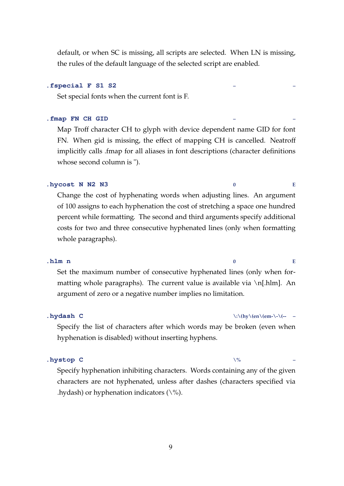default, or when SC is missing, all scripts are selected. When LN is missing, the rules of the default language of the selected script are enabled.

#### **.fspecial F S1 S2 – –**

Set special fonts when the current font is F.

#### **.fmap FN CH GID – –**

Map Troff character CH to glyph with device dependent name GID for font FN. When gid is missing, the effect of mapping CH is cancelled. Neatroff implicitly calls .fmap for all aliases in font descriptions (character definitions whose second column is ").

#### **.hycost N N2 N3 0 E**

Change the cost of hyphenating words when adjusting lines. An argument of 100 assigns to each hyphenation the cost of stretching a space one hundred percent while formatting. The second and third arguments specify additional costs for two and three consecutive hyphenated lines (only when formatting whole paragraphs).

#### **.hlm n 0 E**

Set the maximum number of consecutive hyphenated lines (only when formatting whole paragraphs). The current value is available via  $\ln[\text{hlm}]$ . An argument of zero or a negative number implies no limitation.

#### **.hydash C \:\(hy\(en\(em-\-\(-- –**

Specify the list of characters after which words may be broken (even when hyphenation is disabled) without inserting hyphens.

#### **.hystop C**  $\sqrt{\%}$

Specify hyphenation inhibiting characters. Words containing any of the given characters are not hyphenated, unless after dashes (characters specified via .hydash) or hyphenation indicators  $(\%).$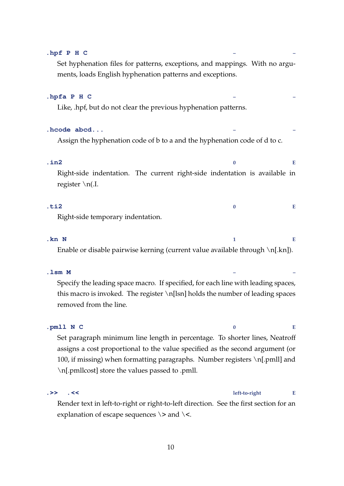| .hpf P H C<br>Set hyphenation files for patterns, exceptions, and mappings. With no argu-<br>ments, loads English hyphenation patterns and exceptions. |          |   |
|--------------------------------------------------------------------------------------------------------------------------------------------------------|----------|---|
| .hpfa P H C<br>Like, .hpf, but do not clear the previous hyphenation patterns.                                                                         |          |   |
| .hcode abcd<br>Assign the hyphenation code of b to a and the hyphenation code of d to c.                                                               |          |   |
| $.$ in $2$<br>Right-side indentation. The current right-side indentation is available in<br>register $\ln$                                             | $\bf{0}$ | Е |
| $.$ ti2<br>Right-side temporary indentation.                                                                                                           | 0        | E |
| .kn N                                                                                                                                                  | 1        | Е |

Enable or disable pairwise kerning (current value available through \n[.kn]).

#### **.lsm M – –**

Specify the leading space macro. If specified, for each line with leading spaces, this macro is invoked. The register \n[lsn] holds the number of leading spaces removed from the line.

# **.pmll N C 0 E** Set paragraph minimum line length in percentage. To shorter lines, Neatroff assigns a cost proportional to the value specified as the second argument (or 100, if missing) when formatting paragraphs. Number registers \n[.pmll] and \n[.pmllcost] store the values passed to .pmll.

### **.>> .<< left-to-right E**

Render text in left-to-right or right-to-left direction. See the first section for an explanation of escape sequences  $\>$  and  $\<$ .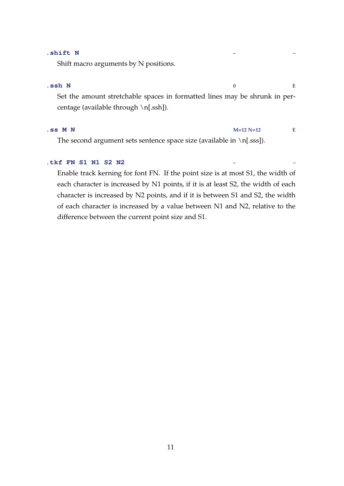#### **.shift N – –**

Shift macro arguments by N positions.

#### **.ssh N 0 E**

Set the amount stretchable spaces in formatted lines may be shrunk in percentage (available through \n[.ssh]).

#### **.ss M N M=12 N=12 E**

The second argument sets sentence space size (available in  $\n\ln\{\text{sss}\}.$ 

### **.tkf FN S1 N1 S2 N2 – –**

Enable track kerning for font FN. If the point size is at most S1, the width of each character is increased by N1 points, if it is at least S2, the width of each character is increased by N2 points, and if it is between S1 and S2, the width of each character is increased by a value between N1 and N2, relative to the difference between the current point size and S1.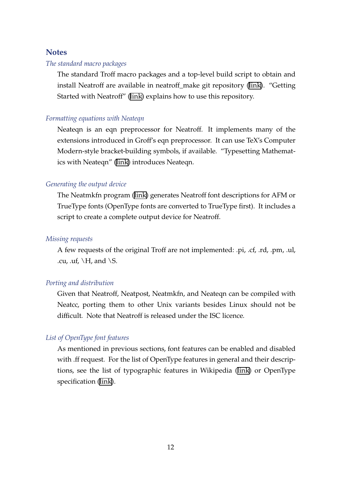#### **Notes**

#### *The standard macro packages*

The standard Troff macro packages and a top-level build script to obtain and install Neatroff are available in neatroff\_make git repository [\(link](http://litcave.rudi.ir/)). "Getting Started with Neatroff"([link\)](http://litcave.rudi.ir/neatstart.pdf) explains how to use this repository.

#### *Formatting equations with Neateqn*

Neateqn is an eqn preprocessor for Neatroff. It implements many of the extensions introduced in Groff's eqn preprocessor. It can use TeX's Computer Modern-style bracket-building symbols, if available. "Typesetting Mathematics with Neateqn" [\(link\)](http://litcave.rudi.ir/neateqn.pdf) introduces Neateqn.

#### *Generating the output device*

The Neatmkfn program [\(link\)](https://github.com/aligrudi/neatmkfn) generates Neatroff font descriptions for AFM or TrueType fonts (OpenType fonts are converted to TrueType first). It includes a script to create a complete output device for Neatroff.

#### *Missing requests*

A few requests of the original Troff are not implemented: .pi, .cf, .rd, .pm, .ul, .cu, .uf,  $\H$ , and  $\S$ .

#### *Porting and distribution*

Given that Neatroff, Neatpost, Neatmkfn, and Neateqn can be compiled with Neatcc, porting them to other Unix variants besides Linux should not be difficult. Note that Neatroff is released under the ISC licence.

#### *List of OpenType font features*

As mentioned in previous sections, font features can be enabled and disabled with .ff request. For the list of OpenType features in general and their descriptions, see the list of typographic features in Wikipedia([link](https://en.wikipedia.org/wiki/List_of_typographic_features)) or OpenType specification [\(link](http://www.microsoft.com/typography/OTSPEC/featurelist.htm)).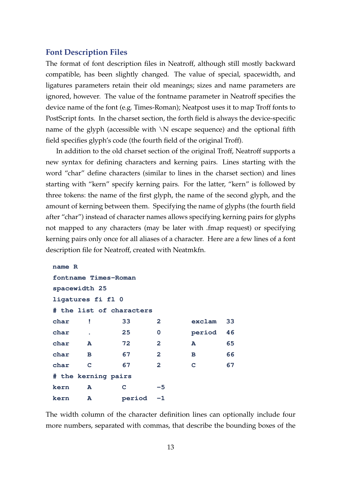#### **Font Description Files**

The format of font description files in Neatroff, although still mostly backward compatible, has been slightly changed. The value of special, spacewidth, and ligatures parameters retain their old meanings; sizes and name parameters are ignored, however. The value of the fontname parameter in Neatroff specifies the device name of the font (e.g. Times-Roman); Neatpost uses it to map Troff fonts to PostScript fonts. In the charset section, the forth field is always the device-specific name of the glyph (accessible with  $\overline{N}$  escape sequence) and the optional fifth field specifies glyph's code (the fourth field of the original Troff).

In addition to the old charset section of the original Troff, Neatroff supports a new syntax for defining characters and kerning pairs. Lines starting with the word "char" define characters (similar to lines in the charset section) and lines starting with "kern" specify kerning pairs. For the latter, "kern" is followed by three tokens: the name of the first glyph, the name of the second glyph, and the amount of kerning between them. Specifying the name of glyphs (the fourth field after "char") instead of character names allows specifying kerning pairs for glyphs not mapped to any characters (may be later with .fmap request) or specifying kerning pairs only once for all aliases of a character. Here are a few lines of a font description file for Neatroff, created with Neatmkfn.

```
name R
fontname Times-Roman
spacewidth 25
ligatures fi fl 0
# the list of characters
char ! 33 2 exclam 33
char . 25 0 period 46
char A 72 2 A 65
char B 67 2 B 66
char C 67 2 C 67
# the kerning pairs
kern A C -5
kern A period -1
```
The width column of the character definition lines can optionally include four more numbers, separated with commas, that describe the bounding boxes of the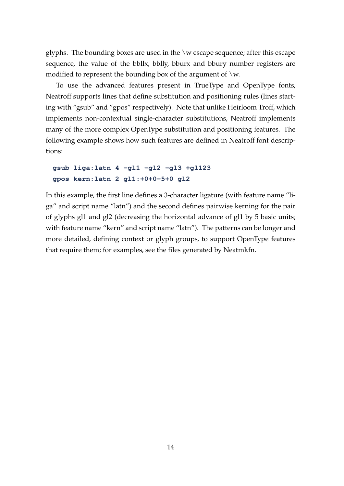glyphs. The bounding boxes are used in the \w escape sequence; after this escape sequence, the value of the bbllx, bblly, bburx and bbury number registers are modified to represent the bounding box of the argument of  $\wedge w$ .

To use the advanced features present in TrueType and OpenType fonts, Neatroff supports lines that define substitution and positioning rules (lines starting with "gsub" and "gpos" respectively). Note that unlike Heirloom Troff, which implements non-contextual single-character substitutions, Neatroff implements many of the more complex OpenType substitution and positioning features. The following example shows how such features are defined in Neatroff font descriptions:

## **gsub liga:latn 4 -gl1 -gl2 -gl3 +gl123 gpos kern:latn 2 gl1:+0+0-5+0 gl2**

In this example, the first line defines a 3-character ligature (with feature name "liga" and script name "latn") and the second defines pairwise kerning for the pair of glyphs gl1 and gl2 (decreasing the horizontal advance of gl1 by 5 basic units; with feature name "kern" and script name "latn"). The patterns can be longer and more detailed, defining context or glyph groups, to support OpenType features that require them; for examples, see the files generated by Neatmkfn.